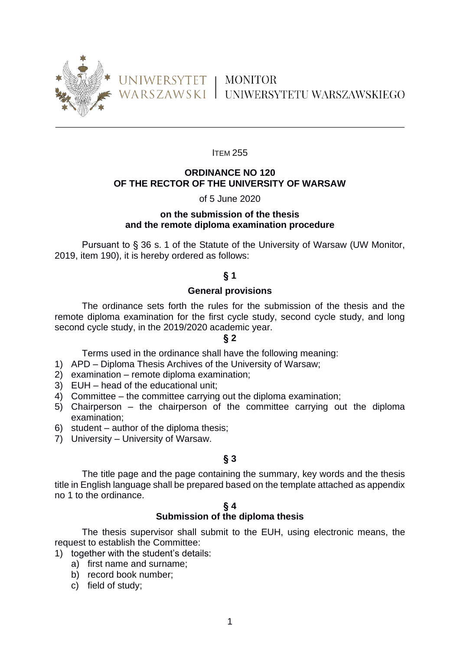

**ITEM 255** 

### **ORDINANCE NO 120 OF THE RECTOR OF THE UNIVERSITY OF WARSAW**

### of 5 June 2020

## **on the submission of the thesis and the remote diploma examination procedure**

Pursuant to § 36 s. 1 of the Statute of the University of Warsaw (UW Monitor, 2019, item 190), it is hereby ordered as follows:

### **§ 1**

### **General provisions**

The ordinance sets forth the rules for the submission of the thesis and the remote diploma examination for the first cycle study, second cycle study, and long second cycle study, in the 2019/2020 academic year.

#### **§ 2**

Terms used in the ordinance shall have the following meaning:

1) APD – Diploma Thesis Archives of the University of Warsaw;

- 2) examination remote diploma examination;
- 3) EUH head of the educational unit;
- 4) Committee the committee carrying out the diploma examination;
- 5) Chairperson the chairperson of the committee carrying out the diploma examination;
- 6) student author of the diploma thesis;
- 7) University University of Warsaw.

## **§ 3**

The title page and the page containing the summary, key words and the thesis title in English language shall be prepared based on the template attached as appendix no 1 to the ordinance.

#### **§ 4**

#### **Submission of the diploma thesis**

The thesis supervisor shall submit to the EUH, using electronic means, the request to establish the Committee:

1) together with the student's details:

- a) first name and surname;
- b) record book number;
- c) field of study;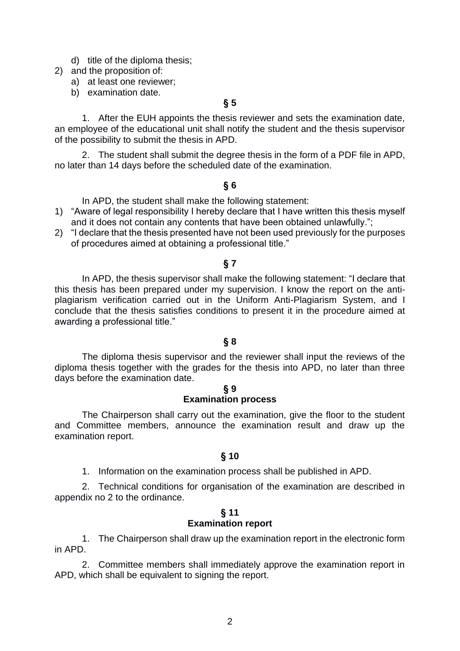- d) title of the diploma thesis;
- 2) and the proposition of:
	- a) at least one reviewer;
	- b) examination date.

## **§ 5**

1. After the EUH appoints the thesis reviewer and sets the examination date, an employee of the educational unit shall notify the student and the thesis supervisor of the possibility to submit the thesis in APD.

2. The student shall submit the degree thesis in the form of a PDF file in APD, no later than 14 days before the scheduled date of the examination.

### **§ 6**

In APD, the student shall make the following statement:

- 1) "Aware of legal responsibility I hereby declare that I have written this thesis myself and it does not contain any contents that have been obtained unlawfully.";
- 2) "I declare that the thesis presented have not been used previously for the purposes of procedures aimed at obtaining a professional title."

### **§ 7**

In APD, the thesis supervisor shall make the following statement: "I declare that this thesis has been prepared under my supervision. I know the report on the antiplagiarism verification carried out in the Uniform Anti-Plagiarism System, and I conclude that the thesis satisfies conditions to present it in the procedure aimed at awarding a professional title."

#### **§ 8**

The diploma thesis supervisor and the reviewer shall input the reviews of the diploma thesis together with the grades for the thesis into APD, no later than three days before the examination date.

#### **§ 9 Examination process**

The Chairperson shall carry out the examination, give the floor to the student and Committee members, announce the examination result and draw up the examination report.

## **§ 10**

1. Information on the examination process shall be published in APD.

2. Technical conditions for organisation of the examination are described in appendix no 2 to the ordinance.

#### **§ 11 Examination report**

1. The Chairperson shall draw up the examination report in the electronic form in APD.

2. Committee members shall immediately approve the examination report in APD, which shall be equivalent to signing the report.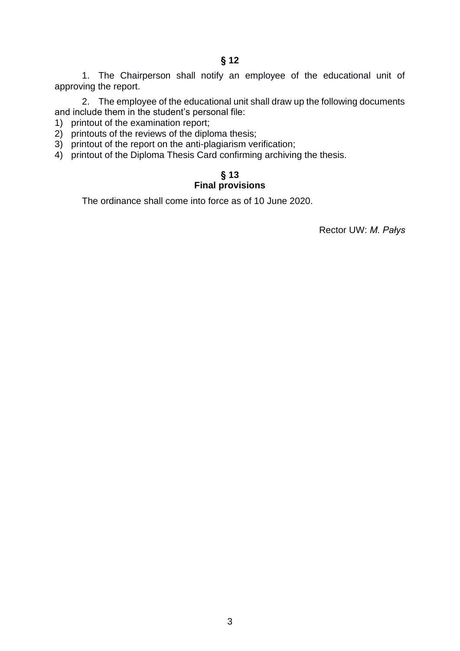1. The Chairperson shall notify an employee of the educational unit of approving the report.

2. The employee of the educational unit shall draw up the following documents and include them in the student's personal file:

- 1) printout of the examination report;
- 2) printouts of the reviews of the diploma thesis;
- 3) printout of the report on the anti-plagiarism verification;
- 4) printout of the Diploma Thesis Card confirming archiving the thesis.

## **§ 13**

## **Final provisions**

The ordinance shall come into force as of 10 June 2020.

Rector UW: *M. Pałys*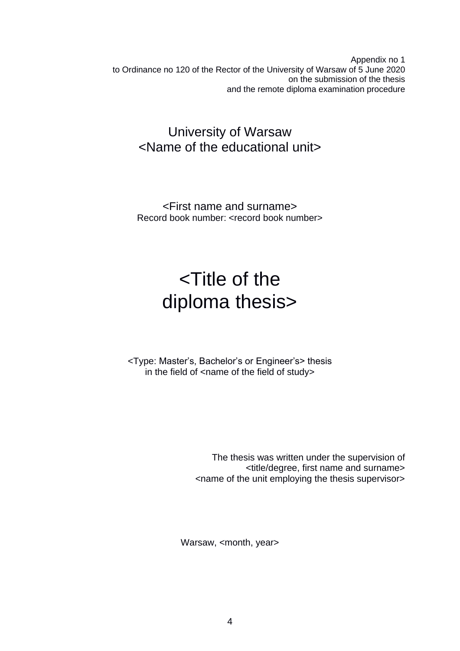Appendix no 1 to Ordinance no 120 of the Rector of the University of Warsaw of 5 June 2020 on the submission of the thesis and the remote diploma examination procedure

# University of Warsaw <Name of the educational unit>

<First name and surname> Record book number: <record book number>

# <Title of the diploma thesis>

<Type: Master's, Bachelor's or Engineer's> thesis in the field of <name of the field of study>

> The thesis was written under the supervision of <title/degree, first name and surname> <name of the unit employing the thesis supervisor>

Warsaw, <month, year>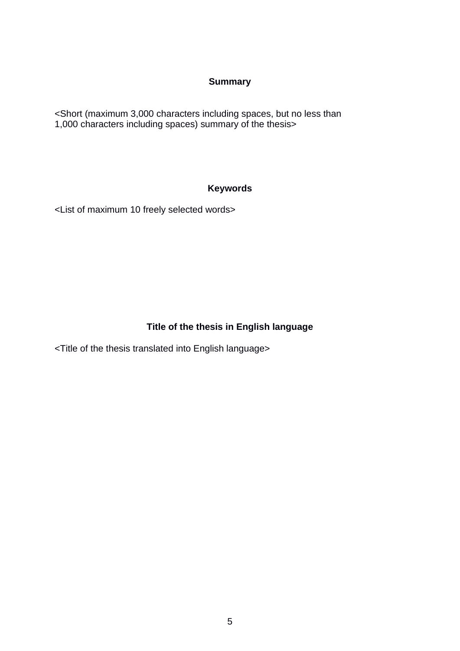## **Summary**

<Short (maximum 3,000 characters including spaces, but no less than 1,000 characters including spaces) summary of the thesis>

## **Keywords**

<List of maximum 10 freely selected words>

## **Title of the thesis in English language**

<Title of the thesis translated into English language>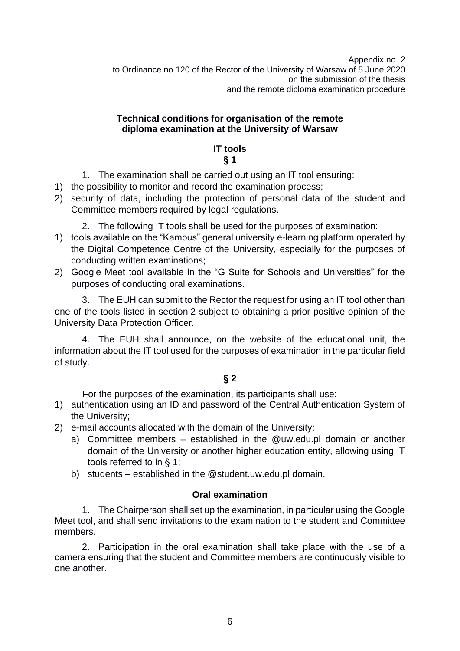Appendix no. 2 to Ordinance no 120 of the Rector of the University of Warsaw of 5 June 2020 on the submission of the thesis and the remote diploma examination procedure

## **Technical conditions for organisation of the remote diploma examination at the University of Warsaw**

## **IT tools § 1**

- 1. The examination shall be carried out using an IT tool ensuring:
- 1) the possibility to monitor and record the examination process;
- 2) security of data, including the protection of personal data of the student and Committee members required by legal regulations.
	- 2. The following IT tools shall be used for the purposes of examination:
- 1) tools available on the "Kampus" general university e-learning platform operated by the Digital Competence Centre of the University, especially for the purposes of conducting written examinations;
- 2) Google Meet tool available in the "G Suite for Schools and Universities" for the purposes of conducting oral examinations.

3. The EUH can submit to the Rector the request for using an IT tool other than one of the tools listed in section 2 subject to obtaining a prior positive opinion of the University Data Protection Officer.

4. The EUH shall announce, on the website of the educational unit, the information about the IT tool used for the purposes of examination in the particular field of study.

## **§ 2**

For the purposes of the examination, its participants shall use:

- 1) authentication using an ID and password of the Central Authentication System of the University;
- 2) e-mail accounts allocated with the domain of the University:
	- a) Committee members established in the @uw.edu.pl domain or another domain of the University or another higher education entity, allowing using IT tools referred to in § 1;
	- b) students established in the @student.uw.edu.pl domain.

## **Oral examination**

1. The Chairperson shall set up the examination, in particular using the Google Meet tool, and shall send invitations to the examination to the student and Committee members.

2. Participation in the oral examination shall take place with the use of a camera ensuring that the student and Committee members are continuously visible to one another.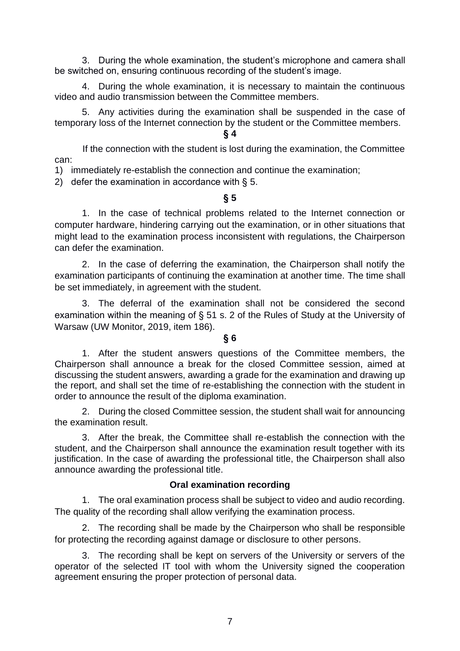3. During the whole examination, the student's microphone and camera shall be switched on, ensuring continuous recording of the student's image.

4. During the whole examination, it is necessary to maintain the continuous video and audio transmission between the Committee members.

5. Any activities during the examination shall be suspended in the case of temporary loss of the Internet connection by the student or the Committee members.

## **§ 4**

If the connection with the student is lost during the examination, the Committee can:

1) immediately re-establish the connection and continue the examination;

2) defer the examination in accordance with § 5.

## **§ 5**

1. In the case of technical problems related to the Internet connection or computer hardware, hindering carrying out the examination, or in other situations that might lead to the examination process inconsistent with regulations, the Chairperson can defer the examination.

2. In the case of deferring the examination, the Chairperson shall notify the examination participants of continuing the examination at another time. The time shall be set immediately, in agreement with the student.

3. The deferral of the examination shall not be considered the second examination within the meaning of § 51 s. 2 of the Rules of Study at the University of Warsaw (UW Monitor, 2019, item 186).

## **§ 6**

1. After the student answers questions of the Committee members, the Chairperson shall announce a break for the closed Committee session, aimed at discussing the student answers, awarding a grade for the examination and drawing up the report, and shall set the time of re-establishing the connection with the student in order to announce the result of the diploma examination.

2. During the closed Committee session, the student shall wait for announcing the examination result.

3. After the break, the Committee shall re-establish the connection with the student, and the Chairperson shall announce the examination result together with its justification. In the case of awarding the professional title, the Chairperson shall also announce awarding the professional title.

## **Oral examination recording**

1. The oral examination process shall be subject to video and audio recording. The quality of the recording shall allow verifying the examination process.

2. The recording shall be made by the Chairperson who shall be responsible for protecting the recording against damage or disclosure to other persons.

3. The recording shall be kept on servers of the University or servers of the operator of the selected IT tool with whom the University signed the cooperation agreement ensuring the proper protection of personal data.